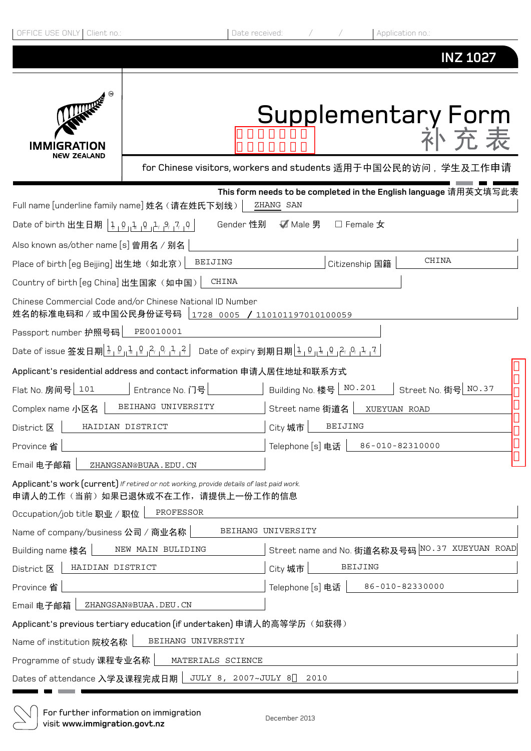| OFFICE USE ONLY   Client no.:                                               |                                                                                                                              | Application no.:<br>Date received:                                            |  |  |  |
|-----------------------------------------------------------------------------|------------------------------------------------------------------------------------------------------------------------------|-------------------------------------------------------------------------------|--|--|--|
|                                                                             |                                                                                                                              | <b>INZ 1027</b>                                                               |  |  |  |
| <b>THEFE</b><br>GRATION<br>NEW ZEALAND                                      |                                                                                                                              | Supplementary Form                                                            |  |  |  |
|                                                                             |                                                                                                                              | for Chinese visitors, workers and students 适用于中国公民的访问,学生及工作申请                 |  |  |  |
|                                                                             | Full name [underline family name] 姓名 (请在姓氏下划线)                                                                               | This form needs to be completed in the English language 请用英文填写此表<br>ZHANG SAN |  |  |  |
| Date of birth 出生日期   1, 0   1, 0   1, 2, 2, 7   0                           |                                                                                                                              | Gender 性别<br>✔ Male 男<br>$\square$ Female $\bigstar$                          |  |  |  |
| Also known as/other name [s] 曾用名 / 别名                                       |                                                                                                                              |                                                                               |  |  |  |
| CHINA<br>BEIJING<br>Place of birth [eg Beijing] 出生地 (如北京)<br>Citizenship 国籍 |                                                                                                                              |                                                                               |  |  |  |
| Country of birth [eg China] 出生国家 (如中国)                                      | CHINA                                                                                                                        |                                                                               |  |  |  |
|                                                                             | Chinese Commercial Code and/or Chinese National ID Number<br>姓名的标准电码和 / 或中国公民身份证号码   1728 0005 / 110101197010100059          |                                                                               |  |  |  |
| Passport number 护照号码                                                        | PE0010001                                                                                                                    |                                                                               |  |  |  |
|                                                                             |                                                                                                                              |                                                                               |  |  |  |
|                                                                             | Applicant's residential address and contact information 申请人居住地址和联系方式                                                         |                                                                               |  |  |  |
| Flat No. 房间号 101                                                            | Entrance No. 门号                                                                                                              | Building No. 楼号   NO. 201<br>□ Street No. 街号 NO. 37                           |  |  |  |
| Complex name 小区名                                                            | BEIHANG UNIVERSITY                                                                                                           | Street name 街道名<br>XUEYUAN ROAD                                               |  |  |  |
| District $\overline{\mathbf{X}}$   HAIDIAN DISTRICT                         |                                                                                                                              |                                                                               |  |  |  |
| Province 省                                                                  |                                                                                                                              | Telephone [s] 电话<br>86-010-82310000                                           |  |  |  |
| Email 电子邮箱                                                                  | ZHANGSAN@BUAA.EDU.CN                                                                                                         |                                                                               |  |  |  |
|                                                                             | Applicant's work (current) If retired or not working, provide details of last paid work.<br>申请人的工作(当前)如果已退休或不在工作,请提供上一份工作的信息 |                                                                               |  |  |  |
| Occupation/job title 职业 / 职位                                                | PROFESSOR                                                                                                                    |                                                                               |  |  |  |
| Name of company/business 公司 / 商业名称                                          |                                                                                                                              | BEIHANG UNIVERSITY                                                            |  |  |  |
| Building name 楼名                                                            | NEW MAIN BULIDING                                                                                                            | Street name and No. 街道名称及号码 NO. 37 XUEYUAN ROAD                               |  |  |  |
| HAIDIAN DISTRICT<br>District 区                                              |                                                                                                                              | <b>BEIJING</b><br>City 城市                                                     |  |  |  |
| Province 省                                                                  |                                                                                                                              | 86-010-82330000<br>Telephone [s] 电话                                           |  |  |  |
| Email 电子邮箱                                                                  | ZHANGSAN@BUAA.DEU.CN                                                                                                         |                                                                               |  |  |  |
|                                                                             | Applicant's previous tertiary education (if undertaken) 申请人的高等学历(如获得)                                                        |                                                                               |  |  |  |
| BEIHANG UNIVERSTIY<br>Name of institution 院校名称                              |                                                                                                                              |                                                                               |  |  |  |
| Programme of study 课程专业名称<br>MATERIALS SCIENCE                              |                                                                                                                              |                                                                               |  |  |  |
| Dates of attendance 入学及课程完成日期                                               |                                                                                                                              | JULY 8, 2007~JULY 8<br>2010                                                   |  |  |  |